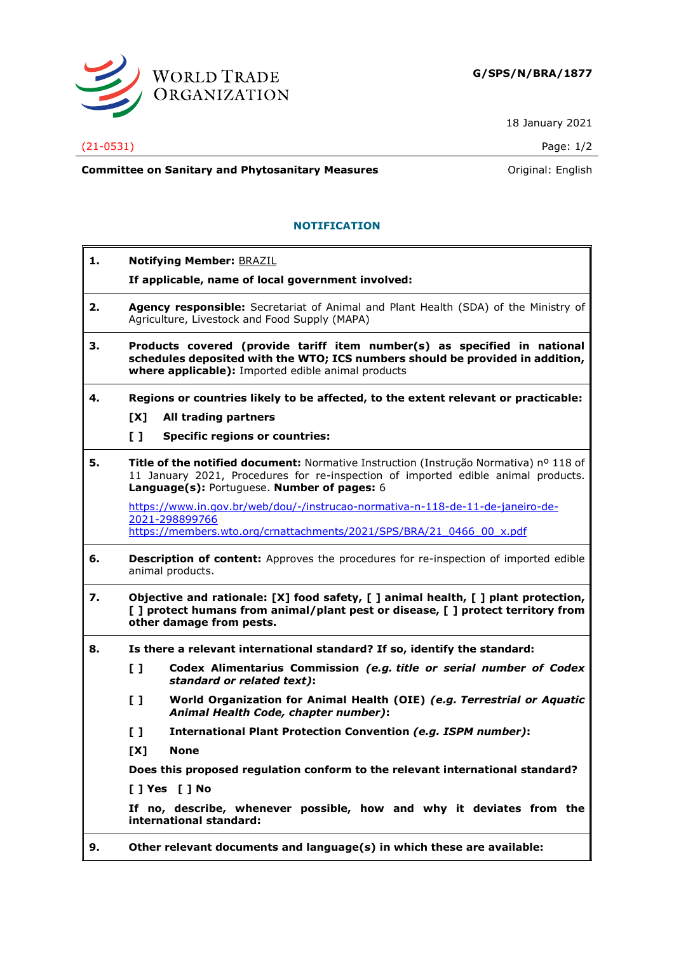

18 January 2021

## (21-0531) Page: 1/2

**Committee on Sanitary and Phytosanitary Measures Committee on Sanitary and Phytosanitary Measures Committee on Sanitary and Phytosanitary Measures** 

## **NOTIFICATION**

| 1. | <b>Notifying Member: BRAZIL</b>                                                                                                                                                                                           |
|----|---------------------------------------------------------------------------------------------------------------------------------------------------------------------------------------------------------------------------|
|    | If applicable, name of local government involved:                                                                                                                                                                         |
| 2. | Agency responsible: Secretariat of Animal and Plant Health (SDA) of the Ministry of<br>Agriculture, Livestock and Food Supply (MAPA)                                                                                      |
| 3. | Products covered (provide tariff item number(s) as specified in national<br>schedules deposited with the WTO; ICS numbers should be provided in addition,<br>where applicable): Imported edible animal products           |
| 4. | Regions or countries likely to be affected, to the extent relevant or practicable:                                                                                                                                        |
|    | [X]<br>All trading partners                                                                                                                                                                                               |
|    | $\mathbf{L}$<br><b>Specific regions or countries:</b>                                                                                                                                                                     |
| 5. | Title of the notified document: Normative Instruction (Instrução Normativa) nº 118 of<br>11 January 2021, Procedures for re-inspection of imported edible animal products.<br>Language(s): Portuguese. Number of pages: 6 |
|    | https://www.in.gov.br/web/dou/-/instrucao-normativa-n-118-de-11-de-janeiro-de-                                                                                                                                            |
|    | 2021-298899766<br>https://members.wto.org/crnattachments/2021/SPS/BRA/21 0466 00 x.pdf                                                                                                                                    |
| 6. | <b>Description of content:</b> Approves the procedures for re-inspection of imported edible<br>animal products.                                                                                                           |
| 7. | Objective and rationale: [X] food safety, [] animal health, [] plant protection,<br>[ ] protect humans from animal/plant pest or disease, [ ] protect territory from<br>other damage from pests.                          |
| 8. | Is there a relevant international standard? If so, identify the standard:                                                                                                                                                 |
|    | Codex Alimentarius Commission (e.g. title or serial number of Codex<br>$\mathbf{L}$<br>standard or related text):                                                                                                         |
|    | $\mathbf{L}$<br>World Organization for Animal Health (OIE) (e.g. Terrestrial or Aquatic<br>Animal Health Code, chapter number):                                                                                           |
|    | $\mathbf{L}$<br><b>International Plant Protection Convention (e.g. ISPM number):</b>                                                                                                                                      |
|    | [X]<br><b>None</b>                                                                                                                                                                                                        |
|    | Does this proposed regulation conform to the relevant international standard?                                                                                                                                             |
|    | [ ] Yes [ ] No                                                                                                                                                                                                            |
|    | If no, describe, whenever possible, how and why it deviates from the<br>international standard:                                                                                                                           |
| 9. | Other relevant documents and language(s) in which these are available:                                                                                                                                                    |